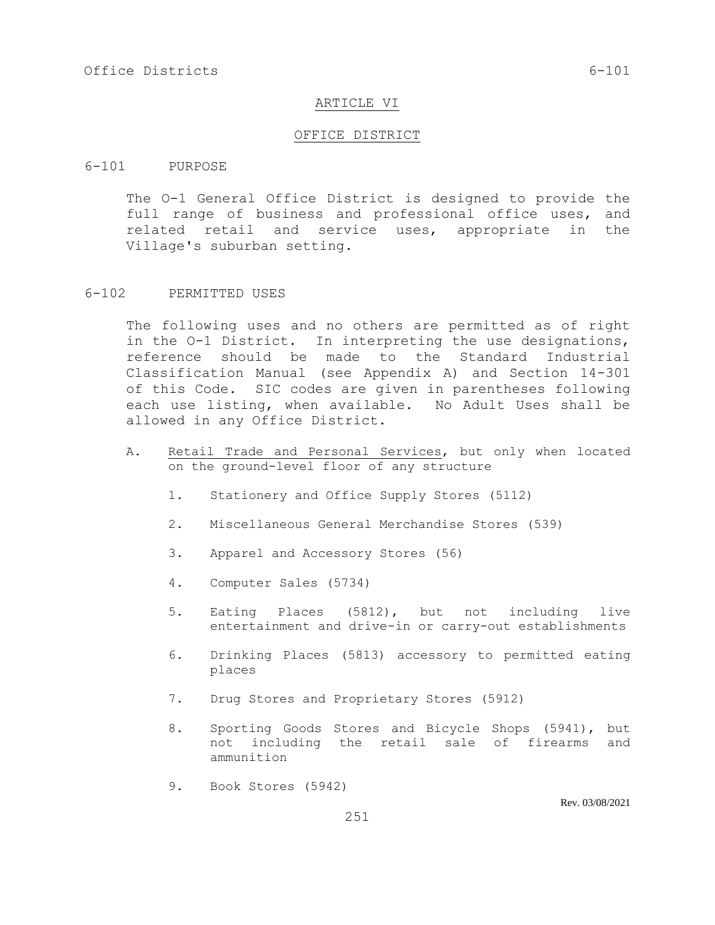#### ARTICLE VI

#### OFFICE DISTRICT

#### 6-101 PURPOSE

The O-1 General Office District is designed to provide the full range of business and professional office uses, and related retail and service uses, appropriate in the Village's suburban setting.

#### 6-102 PERMITTED USES

The following uses and no others are permitted as of right in the O-1 District. In interpreting the use designations, reference should be made to the Standard Industrial Classification Manual (see Appendix A) and Section 14-301 of this Code. SIC codes are given in parentheses following each use listing, when available. No Adult Uses shall be allowed in any Office District.

- A. Retail Trade and Personal Services, but only when located on the ground-level floor of any structure
	- 1. Stationery and Office Supply Stores (5112)
	- 2. Miscellaneous General Merchandise Stores (539)
	- 3. Apparel and Accessory Stores (56)
	- 4. Computer Sales (5734)
	- 5. Eating Places (5812), but not including live entertainment and drive-in or carry-out establishments
	- 6. Drinking Places (5813) accessory to permitted eating places
	- 7. Drug Stores and Proprietary Stores (5912)
	- 8. Sporting Goods Stores and Bicycle Shops (5941), but not including the retail sale of firearms and ammunition
	- 9. Book Stores (5942)

Rev. 03/08/2021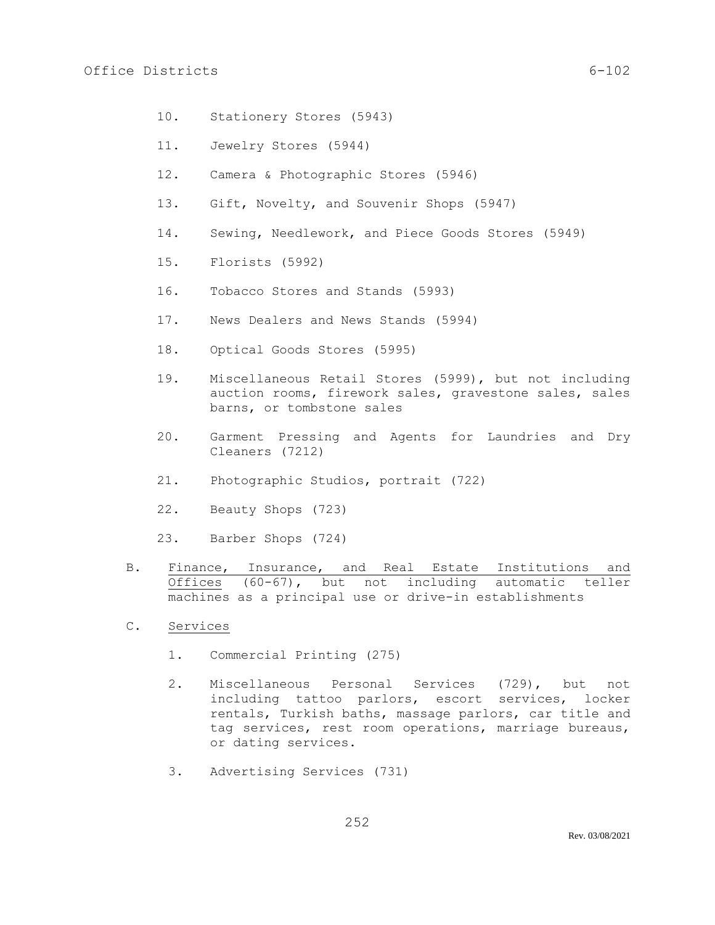- 10. Stationery Stores (5943)
- 11. Jewelry Stores (5944)
- 12. Camera & Photographic Stores (5946)
- 13. Gift, Novelty, and Souvenir Shops (5947)
- 14. Sewing, Needlework, and Piece Goods Stores (5949)
- 15. Florists (5992)
- 16. Tobacco Stores and Stands (5993)
- 17. News Dealers and News Stands (5994)
- 18. Optical Goods Stores (5995)
- 19. Miscellaneous Retail Stores (5999), but not including auction rooms, firework sales, gravestone sales, sales barns, or tombstone sales
- 20. Garment Pressing and Agents for Laundries and Dry Cleaners (7212)
- 21. Photographic Studios, portrait (722)
- 22. Beauty Shops (723)
- 23. Barber Shops (724)
- B. Finance, Insurance, and Real Estate Institutions and Offices (60-67), but not including automatic teller machines as a principal use or drive-in establishments
- C. Services
	- 1. Commercial Printing (275)
	- 2. Miscellaneous Personal Services (729), but not including tattoo parlors, escort services, locker rentals, Turkish baths, massage parlors, car title and tag services, rest room operations, marriage bureaus, or dating services.
	- 3. Advertising Services (731)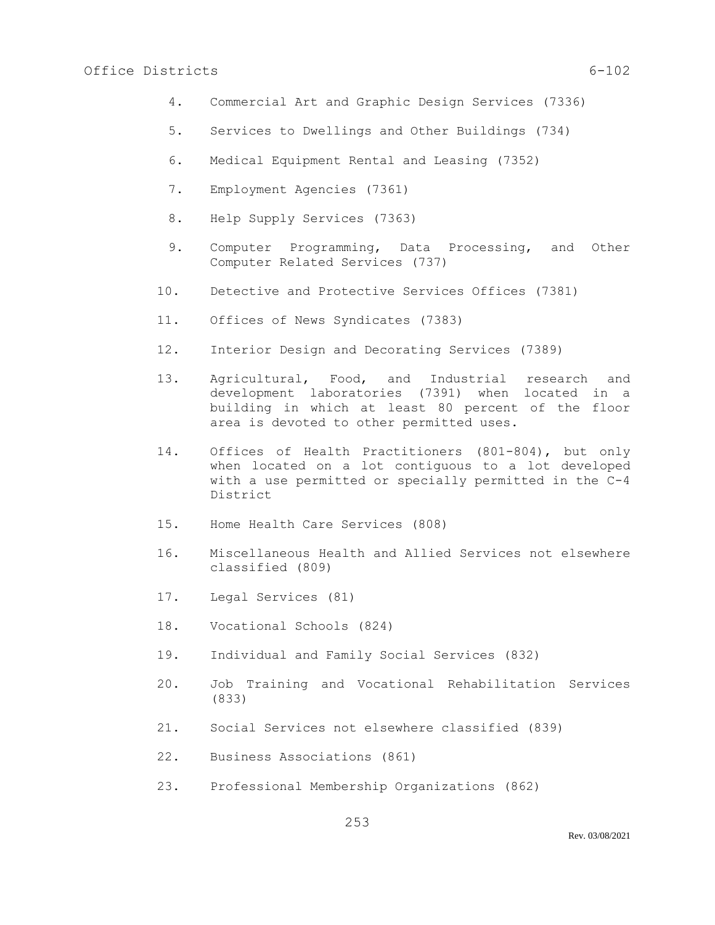## Office Districts 6-102

- 4. Commercial Art and Graphic Design Services (7336)
- 5. Services to Dwellings and Other Buildings (734)
- 6. Medical Equipment Rental and Leasing (7352)
- 7. Employment Agencies (7361)
- 8. Help Supply Services (7363)
- 9. Computer Programming, Data Processing, and Other Computer Related Services (737)
- 10. Detective and Protective Services Offices (7381)
- 11. Offices of News Syndicates (7383)
- 12. Interior Design and Decorating Services (7389)
- 13. Agricultural, Food, and Industrial research and development laboratories (7391) when located in a building in which at least 80 percent of the floor area is devoted to other permitted uses.
- 14. Offices of Health Practitioners (801-804), but only when located on a lot contiguous to a lot developed with a use permitted or specially permitted in the C-4 District
- 15. Home Health Care Services (808)
- 16. Miscellaneous Health and Allied Services not elsewhere classified (809)
- 17. Legal Services (81)
- 18. Vocational Schools (824)
- 19. Individual and Family Social Services (832)
- 20. Job Training and Vocational Rehabilitation Services (833)
- 21. Social Services not elsewhere classified (839)
- 22. Business Associations (861)
- 23. Professional Membership Organizations (862)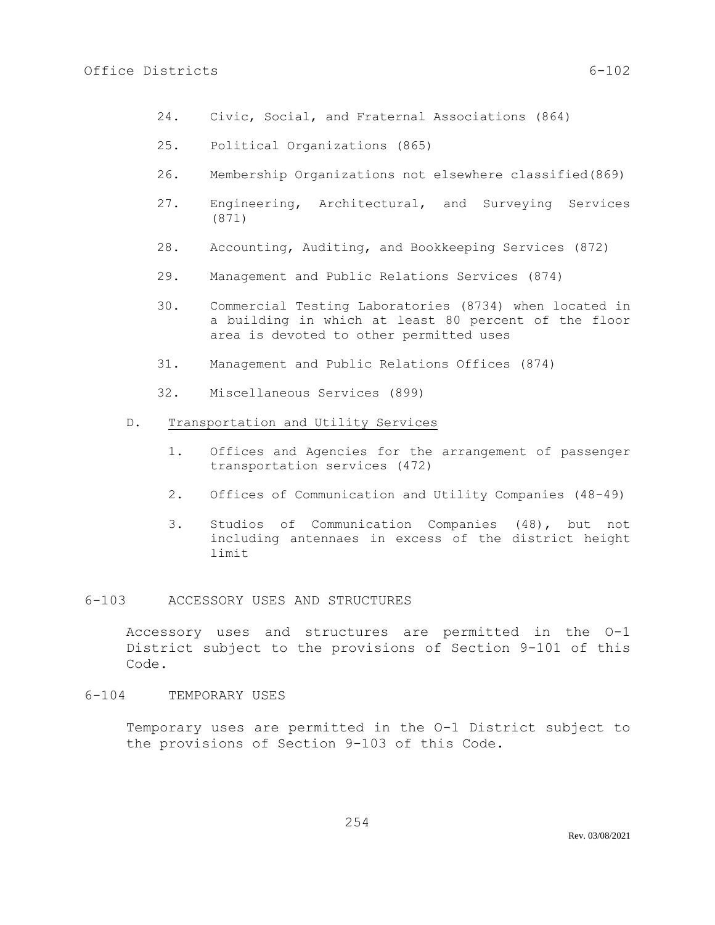- 24. Civic, Social, and Fraternal Associations (864)
- 25. Political Organizations (865)
- 26. Membership Organizations not elsewhere classified(869)
- 27. Engineering, Architectural, and Surveying Services (871)
- 28. Accounting, Auditing, and Bookkeeping Services (872)
- 29. Management and Public Relations Services (874)
- 30. Commercial Testing Laboratories (8734) when located in a building in which at least 80 percent of the floor area is devoted to other permitted uses
- 31. Management and Public Relations Offices (874)
- 32. Miscellaneous Services (899)
- D. Transportation and Utility Services
	- 1. Offices and Agencies for the arrangement of passenger transportation services (472)
	- 2. Offices of Communication and Utility Companies (48-49)
	- 3. Studios of Communication Companies (48), but not including antennaes in excess of the district height limit

## 6-103 ACCESSORY USES AND STRUCTURES

Accessory uses and structures are permitted in the O-1 District subject to the provisions of Section 9-101 of this Code.

#### 6-104 TEMPORARY USES

Temporary uses are permitted in the O-1 District subject to the provisions of Section 9-103 of this Code.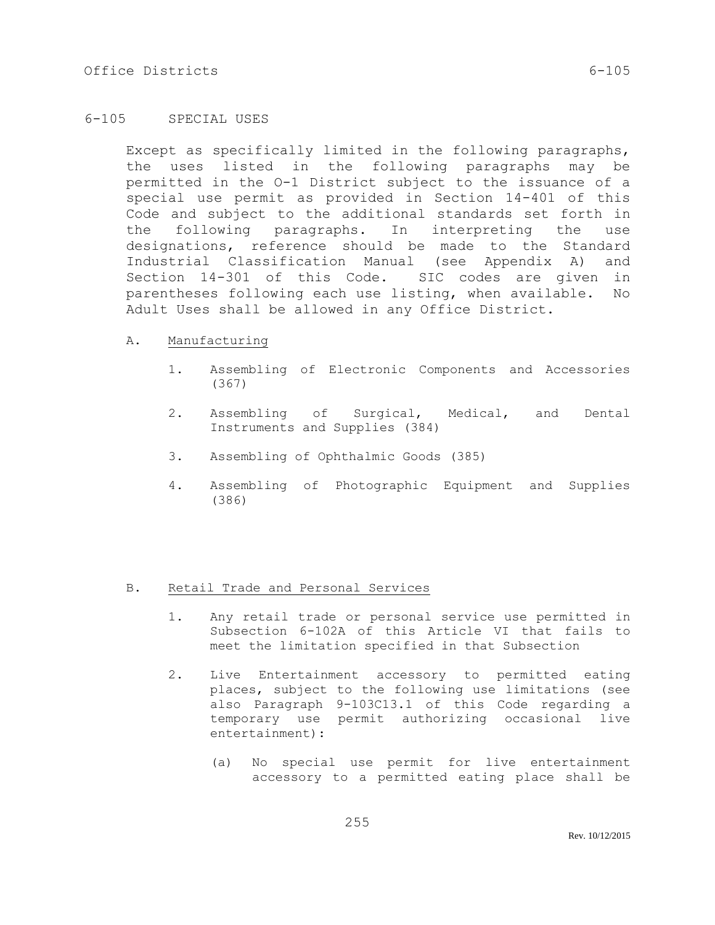## 6-105 SPECIAL USES

Except as specifically limited in the following paragraphs, the uses listed in the following paragraphs may be permitted in the O-1 District subject to the issuance of a special use permit as provided in Section 14-401 of this Code and subject to the additional standards set forth in the following paragraphs. In interpreting the use designations, reference should be made to the Standard Industrial Classification Manual (see Appendix A) and Section 14-301 of this Code. SIC codes are given in parentheses following each use listing, when available. No Adult Uses shall be allowed in any Office District.

#### A. Manufacturing

- 1. Assembling of Electronic Components and Accessories (367)
- 2. Assembling of Surgical, Medical, and Dental Instruments and Supplies (384)
- 3. Assembling of Ophthalmic Goods (385)
- 4. Assembling of Photographic Equipment and Supplies (386)

## B. Retail Trade and Personal Services

- 1. Any retail trade or personal service use permitted in Subsection 6-102A of this Article VI that fails to meet the limitation specified in that Subsection
- 2. Live Entertainment accessory to permitted eating places, subject to the following use limitations (see also Paragraph 9-103C13.1 of this Code regarding a temporary use permit authorizing occasional live entertainment):
	- (a) No special use permit for live entertainment accessory to a permitted eating place shall be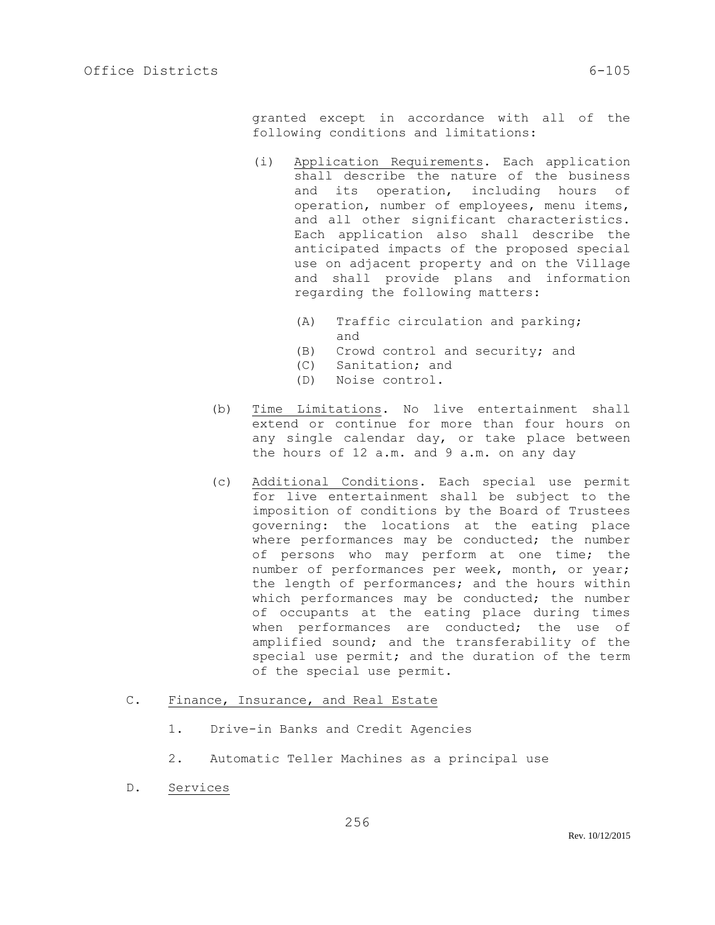granted except in accordance with all of the following conditions and limitations:

- (i) Application Requirements. Each application shall describe the nature of the business and its operation, including hours of operation, number of employees, menu items, and all other significant characteristics. Each application also shall describe the anticipated impacts of the proposed special use on adjacent property and on the Village and shall provide plans and information regarding the following matters:
	- (A) Traffic circulation and parking; and
	- (B) Crowd control and security; and
	- (C) Sanitation; and
	- (D) Noise control.
- (b) Time Limitations. No live entertainment shall extend or continue for more than four hours on any single calendar day, or take place between the hours of 12 a.m. and 9 a.m. on any day
- (c) Additional Conditions. Each special use permit for live entertainment shall be subject to the imposition of conditions by the Board of Trustees governing: the locations at the eating place where performances may be conducted; the number of persons who may perform at one time; the number of performances per week, month, or year; the length of performances; and the hours within which performances may be conducted; the number of occupants at the eating place during times when performances are conducted; the use of amplified sound; and the transferability of the special use permit; and the duration of the term of the special use permit.

#### C. Finance, Insurance, and Real Estate

- 1. Drive-in Banks and Credit Agencies
- 2. Automatic Teller Machines as a principal use

256

D. Services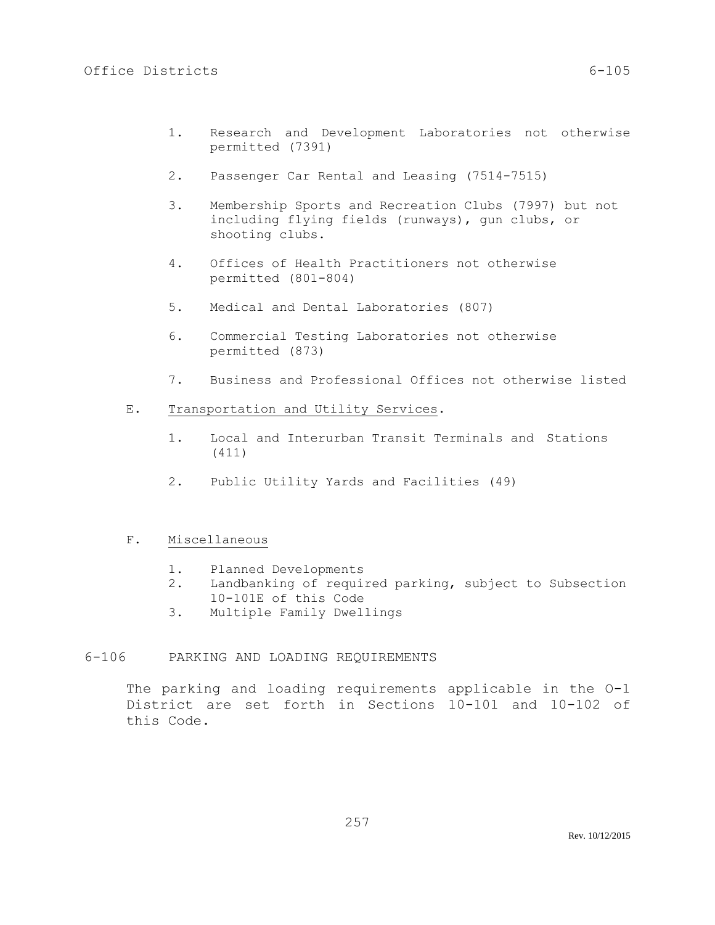- 1. Research and Development Laboratories not otherwise permitted (7391)
- 2. Passenger Car Rental and Leasing (7514-7515)
- 3. Membership Sports and Recreation Clubs (7997) but not including flying fields (runways), gun clubs, or shooting clubs.
- 4. Offices of Health Practitioners not otherwise permitted (801-804)
- 5. Medical and Dental Laboratories (807)
- 6. Commercial Testing Laboratories not otherwise permitted (873)
- 7. Business and Professional Offices not otherwise listed
- E. Transportation and Utility Services.
	- 1. Local and Interurban Transit Terminals and Stations (411)
	- 2. Public Utility Yards and Facilities (49)

# F. Miscellaneous

- 1. Planned Developments
- 2. Landbanking of required parking, subject to Subsection 10-101E of this Code
- 3. Multiple Family Dwellings

## 6-106 PARKING AND LOADING REQUIREMENTS

The parking and loading requirements applicable in the O-1 District are set forth in Sections 10-101 and 10-102 of this Code.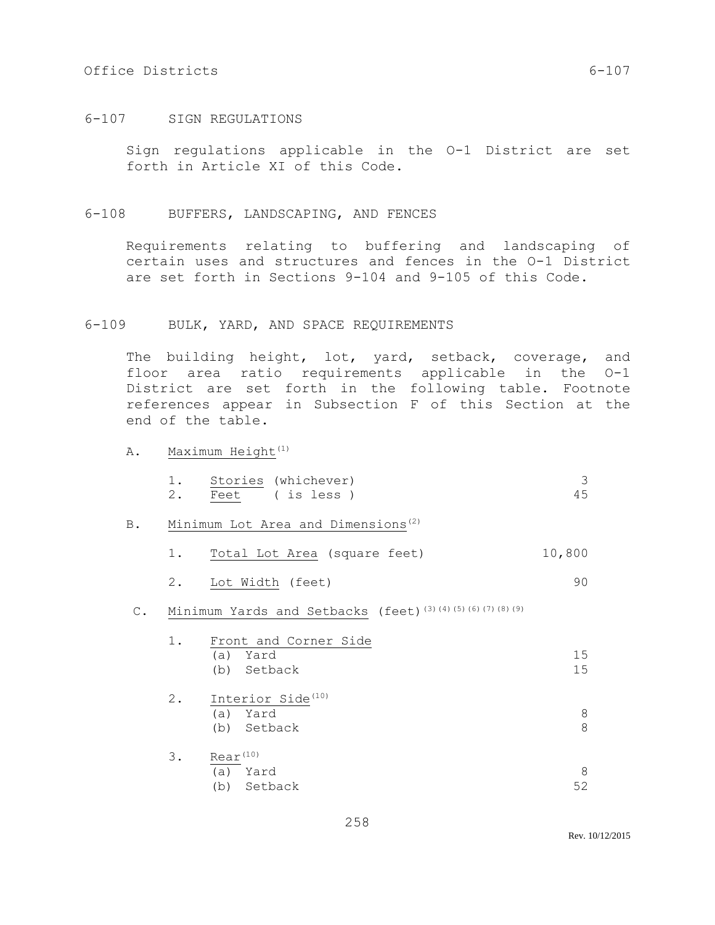## Office Districts 6-107

## 6-107 SIGN REGULATIONS

Sign regulations applicable in the O-1 District are set forth in Article XI of this Code.

#### 6-108 BUFFERS, LANDSCAPING, AND FENCES

Requirements relating to buffering and landscaping of certain uses and structures and fences in the O-1 District are set forth in Sections 9-104 and 9-105 of this Code.

## 6-109 BULK, YARD, AND SPACE REQUIREMENTS

The building height, lot, yard, setback, coverage, and floor area ratio requirements applicable in the O-1 District are set forth in the following table. Footnote references appear in Subsection F of this Section at the end of the table.

A. Maximum Height<sup>(1)</sup>

|    | Stories (whichever) |  |
|----|---------------------|--|
| 2. | Feet (is less)      |  |

- B. Minimum Lot Area and Dimensions<sup>(2)</sup>
	- 1. Total Lot Area (square feet) 10,800
	- 2. Lot Width (feet) 90

# C. Minimum Yards and Setbacks (feet)<sup>(3)(4)(5)(6)(7)(8)(9)</sub></sup>

| 1. | Front and Corner Side         |    |  |
|----|-------------------------------|----|--|
|    | Yard<br>(a)                   | 15 |  |
|    | (b) Setback                   | 15 |  |
| 2. | Interior Side <sup>(10)</sup> |    |  |
|    | Yard<br>(a)                   | 8  |  |
|    | Setback<br>(b)                | 8  |  |
| 3. | $Rear^{(10)}$                 |    |  |
|    | Yard<br>(a)                   | 8  |  |
|    | Setback<br>(b)                | 52 |  |

Rev. 10/12/2015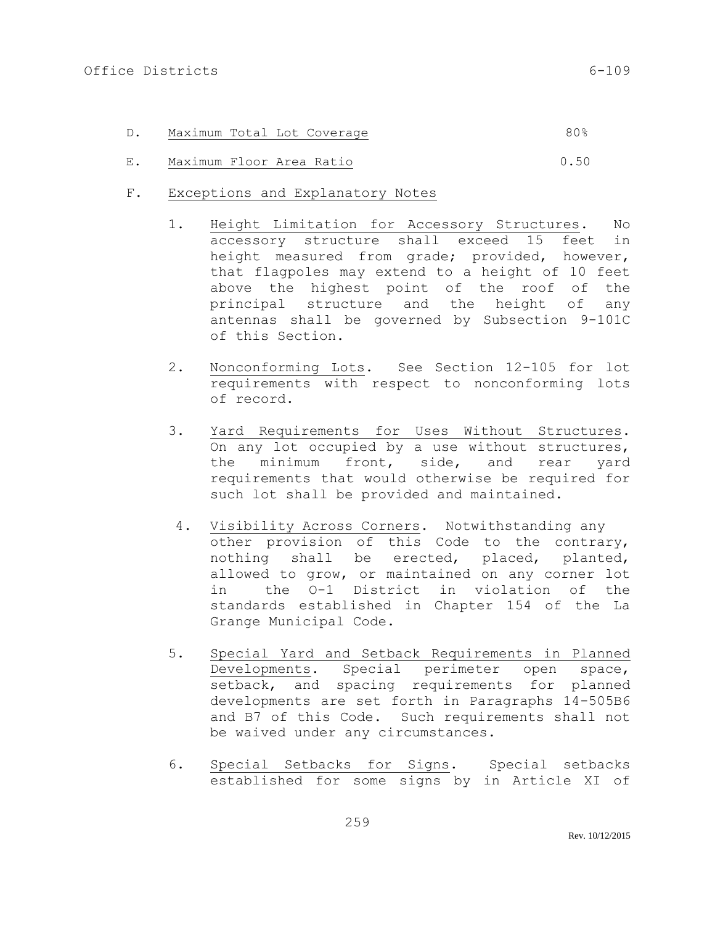| Maximum Total Lot Coverage<br>D. |  |
|----------------------------------|--|
|----------------------------------|--|

- E. Maximum Floor Area Ratio 0.50
- F. Exceptions and Explanatory Notes
	- 1. Height Limitation for Accessory Structures. No accessory structure shall exceed 15 feet in height measured from grade; provided, however, that flagpoles may extend to a height of 10 feet above the highest point of the roof of the principal structure and the height of any antennas shall be governed by Subsection 9-101C of this Section.
	- 2. Nonconforming Lots. See Section 12-105 for lot requirements with respect to nonconforming lots of record.
	- 3. Yard Requirements for Uses Without Structures. On any lot occupied by a use without structures, the minimum front, side, and rear yard requirements that would otherwise be required for such lot shall be provided and maintained.
	- 4. Visibility Across Corners. Notwithstanding any other provision of this Code to the contrary, nothing shall be erected, placed, planted, allowed to grow, or maintained on any corner lot in the O-1 District in violation of the standards established in Chapter 154 of the La Grange Municipal Code.
	- 5. Special Yard and Setback Requirements in Planned Developments. Special perimeter open space, setback, and spacing requirements for planned developments are set forth in Paragraphs 14-505B6 and B7 of this Code. Such requirements shall not be waived under any circumstances.
	- 6. Special Setbacks for Signs. Special setbacks established for some signs by in Article XI of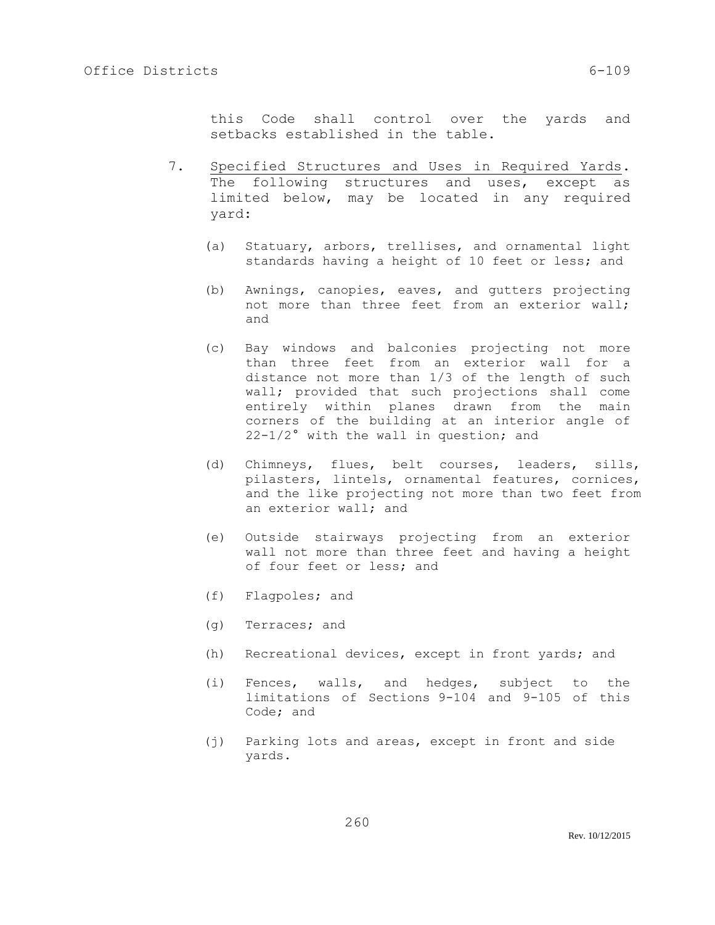this Code shall control over the yards and setbacks established in the table.

- 7. Specified Structures and Uses in Required Yards. The following structures and uses, except as limited below, may be located in any required yard:
	- (a) Statuary, arbors, trellises, and ornamental light standards having a height of 10 feet or less; and
	- (b) Awnings, canopies, eaves, and gutters projecting not more than three feet from an exterior wall; and
	- (c) Bay windows and balconies projecting not more than three feet from an exterior wall for a distance not more than 1/3 of the length of such wall; provided that such projections shall come entirely within planes drawn from the main corners of the building at an interior angle of 22-1/2° with the wall in question; and
	- (d) Chimneys, flues, belt courses, leaders, sills, pilasters, lintels, ornamental features, cornices, and the like projecting not more than two feet from an exterior wall; and
	- (e) Outside stairways projecting from an exterior wall not more than three feet and having a height of four feet or less; and
	- (f) Flagpoles; and
	- (g) Terraces; and
	- (h) Recreational devices, except in front yards; and
	- (i) Fences, walls, and hedges, subject to the limitations of Sections 9-104 and 9-105 of this Code; and
	- (j) Parking lots and areas, except in front and side yards.